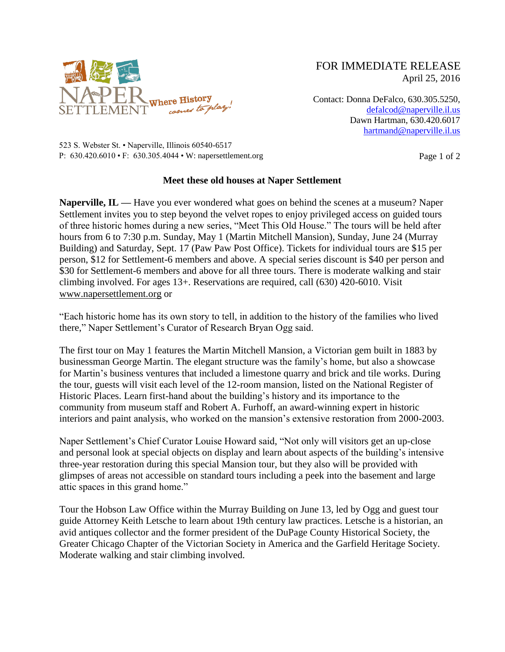

FOR IMMEDIATE RELEASE April 25, 2016

Contact: Donna DeFalco, 630.305.5250, [defalcod@naperville.il.us](mailto:defalcod@naperville.il.us) Dawn Hartman, 630.420.6017 [hartmand@naperville.il.us](mailto:hartmand@naperville.il.us)

523 S. Webster St. • Naperville, Illinois 60540-6517 P:  $630.420.6010 \cdot F$ :  $630.305.4044 \cdot W$ : napersettlement.org Page 1 of 2

## **Meet these old houses at Naper Settlement**

**Naperville, IL —** Have you ever wondered what goes on behind the scenes at a museum? Naper Settlement invites you to step beyond the velvet ropes to enjoy privileged access on guided tours of three historic homes during a new series, "Meet This Old House." The tours will be held after hours from 6 to 7:30 p.m. Sunday, May 1 (Martin Mitchell Mansion), Sunday, June 24 (Murray Building) and Saturday, Sept. 17 (Paw Paw Post Office). Tickets for individual tours are \$15 per person, \$12 for Settlement-6 members and above. A special series discount is \$40 per person and \$30 for Settlement-6 members and above for all three tours. There is moderate walking and stair climbing involved. For ages 13+. Reservations are required, call (630) 420-6010. Visit [www.napersettlement.org](http://www.napersettlement.org/) or

"Each historic home has its own story to tell, in addition to the history of the families who lived there," Naper Settlement's Curator of Research Bryan Ogg said.

The first tour on May 1 features the Martin Mitchell Mansion, a Victorian gem built in 1883 by businessman George Martin. The elegant structure was the family's home, but also a showcase for Martin's business ventures that included a limestone quarry and brick and tile works. During the tour, guests will visit each level of the 12-room mansion, listed on the National Register of Historic Places. Learn first-hand about the building's history and its importance to the community from museum staff and Robert A. Furhoff, an award-winning expert in historic interiors and paint analysis, who worked on the mansion's extensive restoration from 2000-2003.

Naper Settlement's Chief Curator Louise Howard said, "Not only will visitors get an up-close and personal look at special objects on display and learn about aspects of the building's intensive three-year restoration during this special Mansion tour, but they also will be provided with glimpses of areas not accessible on standard tours including a peek into the basement and large attic spaces in this grand home."

Tour the Hobson Law Office within the Murray Building on June 13, led by Ogg and guest tour guide Attorney Keith Letsche to learn about 19th century law practices. Letsche is a historian, an avid antiques collector and the former president of the DuPage County Historical Society, the Greater Chicago Chapter of the Victorian Society in America and the Garfield Heritage Society. Moderate walking and stair climbing involved.